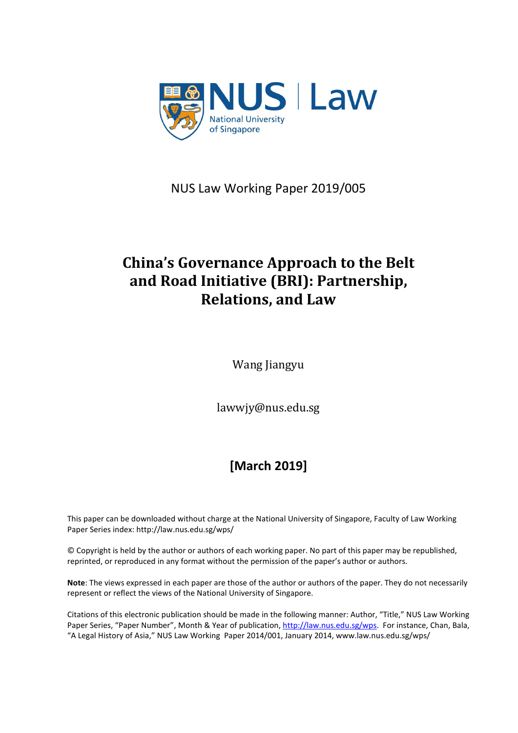

NUS Law Working Paper 2019/005

# **China's Governance Approach to the Belt and Road Initiative (BRI): Partnership, Relations, and Law**

Wang Jiangyu

lawwjy@nus.edu.sg

# **[March 2019]**

This paper can be downloaded without charge at the National University of Singapore, Faculty of Law Working Paper Series index: http://law.nus.edu.sg/wps/

© Copyright is held by the author or authors of each working paper. No part of this paper may be republished, reprinted, or reproduced in any format without the permission of the paper's author or authors.

**Note**: The views expressed in each paper are those of the author or authors of the paper. They do not necessarily represent or reflect the views of the National University of Singapore.

Citations of this electronic publication should be made in the following manner: Author, "Title," NUS Law Working Paper Series, "Paper Number", Month & Year of publication, [http://law.nus.edu.sg/wps.](http://law.nus.edu.sg/wps) For instance, Chan, Bala, "A Legal History of Asia," NUS Law Working Paper 2014/001, January 2014, www.law.nus.edu.sg/wps/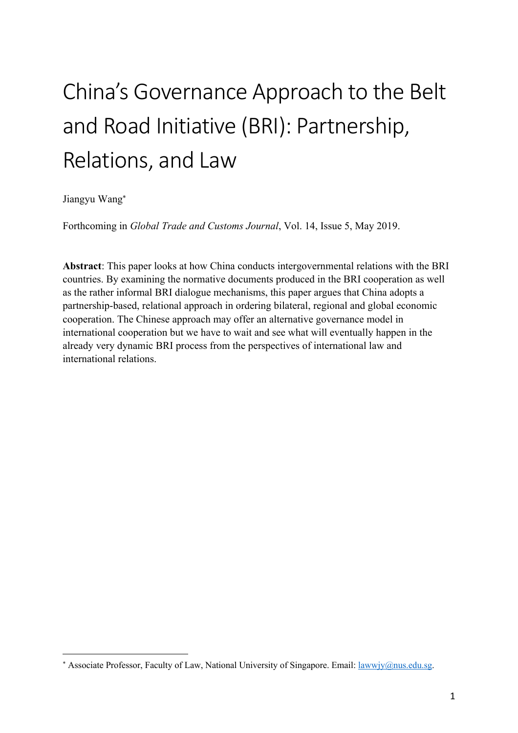# China's Governance Approach to the Belt and Road Initiative (BRI): Partnership, Relations, and Law

Jiangyu Wang\*

 $\overline{a}$ 

Forthcoming in *Global Trade and Customs Journal*, Vol. 14, Issue 5, May 2019.

**Abstract**: This paper looks at how China conducts intergovernmental relations with the BRI countries. By examining the normative documents produced in the BRI cooperation as well as the rather informal BRI dialogue mechanisms, this paper argues that China adopts a partnership-based, relational approach in ordering bilateral, regional and global economic cooperation. The Chinese approach may offer an alternative governance model in international cooperation but we have to wait and see what will eventually happen in the already very dynamic BRI process from the perspectives of international law and international relations.

<sup>\*</sup> Associate Professor, Faculty of Law, National University of Singapore. Email: lawwjy@nus.edu.sg.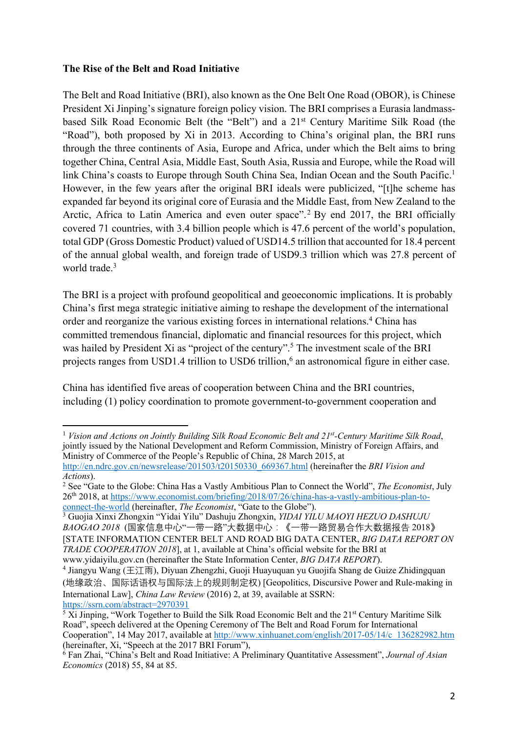## **The Rise of the Belt and Road Initiative**

 $\overline{a}$ 

The Belt and Road Initiative (BRI), also known as the One Belt One Road (OBOR), is Chinese President Xi Jinping's signature foreign policy vision. The BRI comprises a Eurasia landmassbased Silk Road Economic Belt (the "Belt") and a 21st Century Maritime Silk Road (the "Road"), both proposed by Xi in 2013. According to China's original plan, the BRI runs through the three continents of Asia, Europe and Africa, under which the Belt aims to bring together China, Central Asia, Middle East, South Asia, Russia and Europe, while the Road will link China's coasts to Europe through South China Sea, Indian Ocean and the South Pacific.<sup>1</sup> However, in the few years after the original BRI ideals were publicized, "[t]he scheme has expanded far beyond its original core of Eurasia and the Middle East, from New Zealand to the Arctic, Africa to Latin America and even outer space".<sup>2</sup> By end 2017, the BRI officially covered 71 countries, with 3.4 billion people which is 47.6 percent of the world's population, total GDP (Gross Domestic Product) valued of USD14.5 trillion that accounted for 18.4 percent of the annual global wealth, and foreign trade of USD9.3 trillion which was 27.8 percent of world trade.<sup>3</sup>

The BRI is a project with profound geopolitical and geoeconomic implications. It is probably China's first mega strategic initiative aiming to reshape the development of the international order and reorganize the various existing forces in international relations.4 China has committed tremendous financial, diplomatic and financial resources for this project, which was hailed by President Xi as "project of the century".<sup>5</sup> The investment scale of the BRI projects ranges from USD1.4 trillion to USD6 trillion,<sup>6</sup> an astronomical figure in either case.

China has identified five areas of cooperation between China and the BRI countries, including (1) policy coordination to promote government-to-government cooperation and

<sup>3</sup> Guojia Xinxi Zhongxin "Yidai Yilu" Dashuju Zhongxin, *YIDAI YILU MAOYI HEZUO DASHUJU BAOGAO 2018* (国家信息中心"一带一路"大数据中心:《一带一路贸易合作大数据报告 2018》 [STATE INFORMATION CENTER BELT AND ROAD BIG DATA CENTER, *BIG DATA REPORT ON TRADE COOPERATION 2018*], at 1, available at China's official website for the BRI at www.yidaiyilu.gov.cn (hereinafter the State Information Center, *BIG DATA REPORT*).

<sup>1</sup> *Vision and Actions on Jointly Building Silk Road Economic Belt and 21st-Century Maritime Silk Road*, jointly issued by the National Development and Reform Commission, Ministry of Foreign Affairs, and Ministry of Commerce of the People's Republic of China, 28 March 2015, at http://en.ndrc.gov.cn/newsrelease/201503/t20150330\_669367.html (hereinafter the *BRI Vision and Actions*).

<sup>2</sup> See "Gate to the Globe: China Has a Vastly Ambitious Plan to Connect the World", *The Economist*, July 26th 2018, at https://www.economist.com/briefing/2018/07/26/china-has-a-vastly-ambitious-plan-toconnect-the-world (hereinafter, *The Economist*, "Gate to the Globe").

<sup>&</sup>lt;sup>4</sup> Jiangyu Wang (王江雨), Diyuan Zhengzhi, Guoji Huayuquan yu Guojifa Shang de Guize Zhidingquan (地缘政治、国际话语权与国际法上的规则制定权) [Geopolitics, Discursive Power and Rule-making in International Law], *China Law Review* (2016) 2, at 39, available at SSRN: https://ssrn.com/abstract=2970391

 $\frac{5 \text{Xi}}{2}$  Jinping, "Work Together to Build the Silk Road Economic Belt and the 21<sup>st</sup> Century Maritime Silk Road", speech delivered at the Opening Ceremony of The Belt and Road Forum for International Cooperation", 14 May 2017, available at http://www.xinhuanet.com/english/2017-05/14/c\_136282982.htm (hereinafter, Xi, "Speech at the 2017 BRI Forum"),

<sup>6</sup> Fan Zhai, "China's Belt and Road Initiative: A Preliminary Quantitative Assessment", *Journal of Asian Economics* (2018) 55, 84 at 85.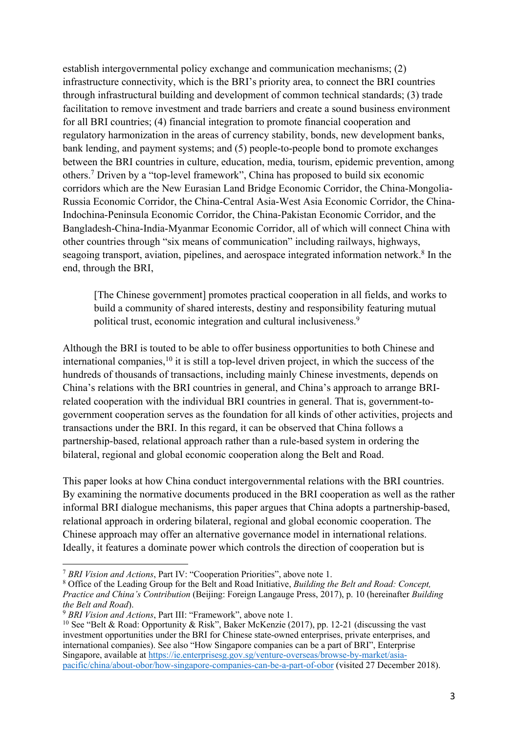establish intergovernmental policy exchange and communication mechanisms; (2) infrastructure connectivity, which is the BRI's priority area, to connect the BRI countries through infrastructural building and development of common technical standards; (3) trade facilitation to remove investment and trade barriers and create a sound business environment for all BRI countries; (4) financial integration to promote financial cooperation and regulatory harmonization in the areas of currency stability, bonds, new development banks, bank lending, and payment systems; and (5) people-to-people bond to promote exchanges between the BRI countries in culture, education, media, tourism, epidemic prevention, among others.7 Driven by a "top-level framework", China has proposed to build six economic corridors which are the New Eurasian Land Bridge Economic Corridor, the China-Mongolia-Russia Economic Corridor, the China-Central Asia-West Asia Economic Corridor, the China-Indochina-Peninsula Economic Corridor, the China-Pakistan Economic Corridor, and the Bangladesh-China-India-Myanmar Economic Corridor, all of which will connect China with other countries through "six means of communication" including railways, highways, seagoing transport, aviation, pipelines, and aerospace integrated information network.<sup>8</sup> In the end, through the BRI,

[The Chinese government] promotes practical cooperation in all fields, and works to build a community of shared interests, destiny and responsibility featuring mutual political trust, economic integration and cultural inclusiveness.9

Although the BRI is touted to be able to offer business opportunities to both Chinese and international companies, $10$  it is still a top-level driven project, in which the success of the hundreds of thousands of transactions, including mainly Chinese investments, depends on China's relations with the BRI countries in general, and China's approach to arrange BRIrelated cooperation with the individual BRI countries in general. That is, government-togovernment cooperation serves as the foundation for all kinds of other activities, projects and transactions under the BRI. In this regard, it can be observed that China follows a partnership-based, relational approach rather than a rule-based system in ordering the bilateral, regional and global economic cooperation along the Belt and Road.

This paper looks at how China conduct intergovernmental relations with the BRI countries. By examining the normative documents produced in the BRI cooperation as well as the rather informal BRI dialogue mechanisms, this paper argues that China adopts a partnership-based, relational approach in ordering bilateral, regional and global economic cooperation. The Chinese approach may offer an alternative governance model in international relations. Ideally, it features a dominate power which controls the direction of cooperation but is

<sup>7</sup> *BRI Vision and Actions*, Part IV: "Cooperation Priorities", above note 1.

<sup>8</sup> Office of the Leading Group for the Belt and Road Initiative, *Building the Belt and Road: Concept, Practice and China's Contribution* (Beijing: Foreign Langauge Press, 2017), p. 10 (hereinafter *Building the Belt and Road*).

<sup>9</sup> *BRI Vision and Actions*, Part III: "Framework", above note 1.

<sup>&</sup>lt;sup>10</sup> See "Belt & Road: Opportunity & Risk", Baker McKenzie (2017), pp. 12-21 (discussing the vast investment opportunities under the BRI for Chinese state-owned enterprises, private enterprises, and international companies). See also "How Singapore companies can be a part of BRI", Enterprise Singapore, available at https://ie.enterprisesg.gov.sg/venture-overseas/browse-by-market/asiapacific/china/about-obor/how-singapore-companies-can-be-a-part-of-obor (visited 27 December 2018).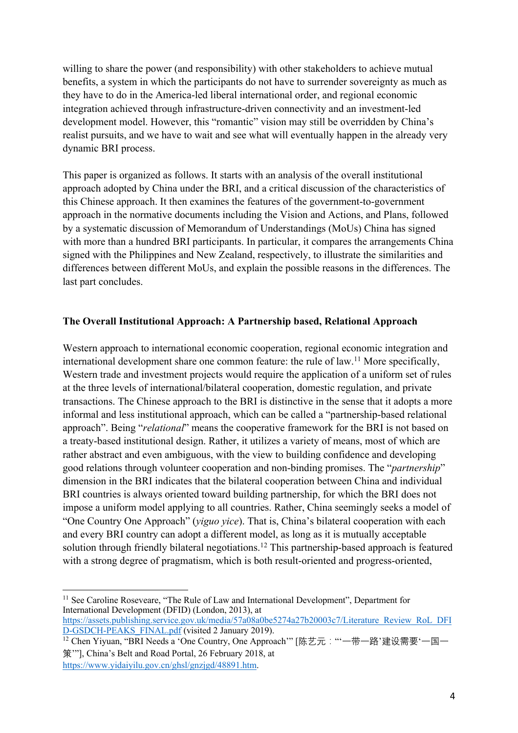willing to share the power (and responsibility) with other stakeholders to achieve mutual benefits, a system in which the participants do not have to surrender sovereignty as much as they have to do in the America-led liberal international order, and regional economic integration achieved through infrastructure-driven connectivity and an investment-led development model. However, this "romantic" vision may still be overridden by China's realist pursuits, and we have to wait and see what will eventually happen in the already very dynamic BRI process.

This paper is organized as follows. It starts with an analysis of the overall institutional approach adopted by China under the BRI, and a critical discussion of the characteristics of this Chinese approach. It then examines the features of the government-to-government approach in the normative documents including the Vision and Actions, and Plans, followed by a systematic discussion of Memorandum of Understandings (MoUs) China has signed with more than a hundred BRI participants. In particular, it compares the arrangements China signed with the Philippines and New Zealand, respectively, to illustrate the similarities and differences between different MoUs, and explain the possible reasons in the differences. The last part concludes.

# **The Overall Institutional Approach: A Partnership based, Relational Approach**

Western approach to international economic cooperation, regional economic integration and international development share one common feature: the rule of law.11 More specifically, Western trade and investment projects would require the application of a uniform set of rules at the three levels of international/bilateral cooperation, domestic regulation, and private transactions. The Chinese approach to the BRI is distinctive in the sense that it adopts a more informal and less institutional approach, which can be called a "partnership-based relational approach". Being "*relational*" means the cooperative framework for the BRI is not based on a treaty-based institutional design. Rather, it utilizes a variety of means, most of which are rather abstract and even ambiguous, with the view to building confidence and developing good relations through volunteer cooperation and non-binding promises. The "*partnership*" dimension in the BRI indicates that the bilateral cooperation between China and individual BRI countries is always oriented toward building partnership, for which the BRI does not impose a uniform model applying to all countries. Rather, China seemingly seeks a model of "One Country One Approach" (*yiguo yice*). That is, China's bilateral cooperation with each and every BRI country can adopt a different model, as long as it is mutually acceptable solution through friendly bilateral negotiations.<sup>12</sup> This partnership-based approach is featured with a strong degree of pragmatism, which is both result-oriented and progress-oriented,

 $\overline{\phantom{a}}$ <sup>11</sup> See Caroline Roseveare, "The Rule of Law and International Development", Department for International Development (DFID) (London, 2013), at

https://assets.publishing.service.gov.uk/media/57a08a0be5274a27b20003c7/Literature\_Review\_RoL\_DFI D-GSDCH-PEAKS\_FINAL.pdf (visited 2 January 2019).

<sup>&</sup>lt;sup>12</sup> Chen Yiyuan, "BRI Needs a 'One Country, One Approach'" [陈艺元: "一带一路'建设需要'一国一 策'"], China's Belt and Road Portal, 26 February 2018, at https://www.yidaiyilu.gov.cn/ghsl/gnzjgd/48891.htm.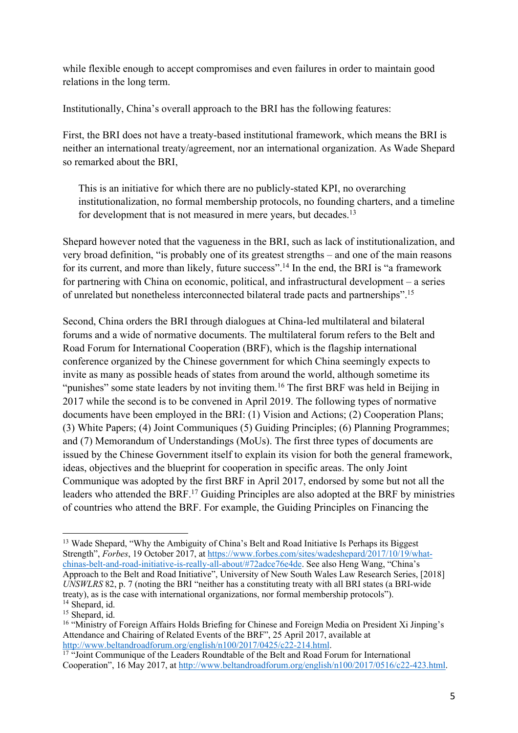while flexible enough to accept compromises and even failures in order to maintain good relations in the long term.

Institutionally, China's overall approach to the BRI has the following features:

First, the BRI does not have a treaty-based institutional framework, which means the BRI is neither an international treaty/agreement, nor an international organization. As Wade Shepard so remarked about the BRI,

This is an initiative for which there are no publicly-stated KPI, no overarching institutionalization, no formal membership protocols, no founding charters, and a timeline for development that is not measured in mere years, but decades.<sup>13</sup>

Shepard however noted that the vagueness in the BRI, such as lack of institutionalization, and very broad definition, "is probably one of its greatest strengths – and one of the main reasons for its current, and more than likely, future success".<sup>14</sup> In the end, the BRI is "a framework for partnering with China on economic, political, and infrastructural development – a series of unrelated but nonetheless interconnected bilateral trade pacts and partnerships".15

Second, China orders the BRI through dialogues at China-led multilateral and bilateral forums and a wide of normative documents. The multilateral forum refers to the Belt and Road Forum for International Cooperation (BRF), which is the flagship international conference organized by the Chinese government for which China seemingly expects to invite as many as possible heads of states from around the world, although sometime its "punishes" some state leaders by not inviting them.<sup>16</sup> The first BRF was held in Beijing in 2017 while the second is to be convened in April 2019. The following types of normative documents have been employed in the BRI: (1) Vision and Actions; (2) Cooperation Plans; (3) White Papers; (4) Joint Communiques (5) Guiding Principles; (6) Planning Programmes; and (7) Memorandum of Understandings (MoUs). The first three types of documents are issued by the Chinese Government itself to explain its vision for both the general framework, ideas, objectives and the blueprint for cooperation in specific areas. The only Joint Communique was adopted by the first BRF in April 2017, endorsed by some but not all the leaders who attended the BRF.17 Guiding Principles are also adopted at the BRF by ministries of countries who attend the BRF. For example, the Guiding Principles on Financing the

<sup>&</sup>lt;sup>13</sup> Wade Shepard, "Why the Ambiguity of China's Belt and Road Initiative Is Perhaps its Biggest Strength", *Forbes*, 19 October 2017, at https://www.forbes.com/sites/wadeshepard/2017/10/19/whatchinas-belt-and-road-initiative-is-really-all-about/#72adce76e4de. See also Heng Wang, "China's Approach to the Belt and Road Initiative", University of New South Wales Law Research Series, [2018] *UNSWLRS* 82, p. 7 (noting the BRI "neither has a constituting treaty with all BRI states (a BRI-wide treaty), as is the case with international organizations, nor formal membership protocols"). <sup>14</sup> Shepard, id.

<sup>&</sup>lt;sup>15</sup> Shepard, id.

<sup>&</sup>lt;sup>16</sup> "Ministry of Foreign Affairs Holds Briefing for Chinese and Foreign Media on President Xi Jinping's Attendance and Chairing of Related Events of the BRF", 25 April 2017, available at

http://www.beltandroadforum.org/english/n100/2017/0425/c22-214.html.<br><sup>17</sup> "Joint Communique of the Leaders Roundtable of the Belt and Road Forum for International Cooperation", 16 May 2017, at http://www.beltandroadforum.org/english/n100/2017/0516/c22-423.html.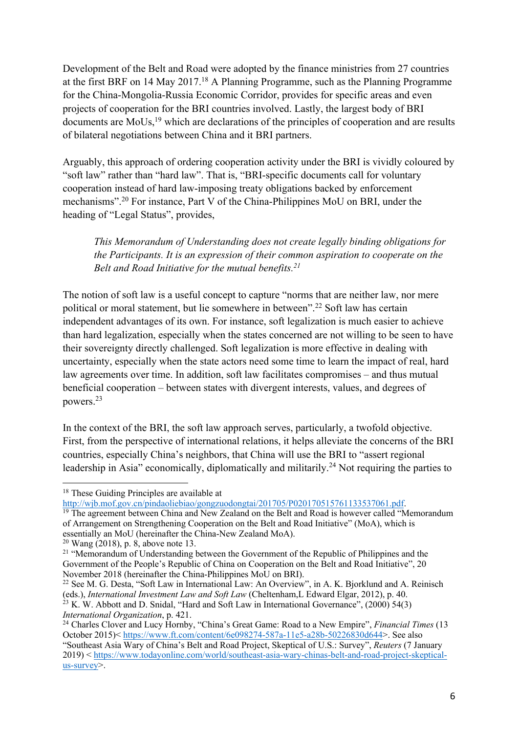Development of the Belt and Road were adopted by the finance ministries from 27 countries at the first BRF on 14 May 2017.18 A Planning Programme, such as the Planning Programme for the China-Mongolia-Russia Economic Corridor, provides for specific areas and even projects of cooperation for the BRI countries involved. Lastly, the largest body of BRI documents are MoUs,<sup>19</sup> which are declarations of the principles of cooperation and are results of bilateral negotiations between China and it BRI partners.

Arguably, this approach of ordering cooperation activity under the BRI is vividly coloured by "soft law" rather than "hard law". That is, "BRI-specific documents call for voluntary cooperation instead of hard law-imposing treaty obligations backed by enforcement mechanisms".20 For instance, Part V of the China-Philippines MoU on BRI, under the heading of "Legal Status", provides,

*This Memorandum of Understanding does not create legally binding obligations for the Participants. It is an expression of their common aspiration to cooperate on the Belt and Road Initiative for the mutual benefits.21*

The notion of soft law is a useful concept to capture "norms that are neither law, nor mere political or moral statement, but lie somewhere in between".22 Soft law has certain independent advantages of its own. For instance, soft legalization is much easier to achieve than hard legalization, especially when the states concerned are not willing to be seen to have their sovereignty directly challenged. Soft legalization is more effective in dealing with uncertainty, especially when the state actors need some time to learn the impact of real, hard law agreements over time. In addition, soft law facilitates compromises – and thus mutual beneficial cooperation – between states with divergent interests, values, and degrees of powers.23

In the context of the BRI, the soft law approach serves, particularly, a twofold objective. First, from the perspective of international relations, it helps alleviate the concerns of the BRI countries, especially China's neighbors, that China will use the BRI to "assert regional leadership in Asia" economically, diplomatically and militarily.<sup>24</sup> Not requiring the parties to

of Arrangement on Strengthening Cooperation on the Belt and Road Initiative" (MoA), which is essentially an MoU (hereinafter the China-New Zealand MoA).

<sup>&</sup>lt;sup>18</sup> These Guiding Principles are available at

http://wjb.mof.gov.cn/pindaoliebiao/gongzuodongtai/201705/P020170515761133537061.pdf.<br><sup>19</sup> The agreement between China and New Zealand on the Belt and Road is however called "Memorandum"

 $20$  Wang (2018), p. 8, above note 13.

<sup>&</sup>lt;sup>21</sup> "Memorandum of Understanding between the Government of the Republic of Philippines and the Government of the People's Republic of China on Cooperation on the Belt and Road Initiative", 20 November 2018 (hereinafter the China-Philippines MoU on BRI).

<sup>&</sup>lt;sup>22</sup> See M. G. Desta, "Soft Law in International Law: An Overview", in A. K. Bjorklund and A. Reinisch (eds.), *International Investment Law and Soft Law* (Cheltenham,L Edward Elgar, 2012), p. 40.

 $^{23}$  K. W. Abbott and D. Snidal, "Hard and Soft Law in International Governance", (2000) 54(3) *International Organization*, p. 421.

<sup>24</sup> Charles Clover and Lucy Hornby, "China's Great Game: Road to a New Empire", *Financial Times* (13 October 2015)< https://www.ft.com/content/6e098274-587a-11e5-a28b-50226830d644>. See also "Southeast Asia Wary of China's Belt and Road Project, Skeptical of U.S.: Survey", *Reuters* (7 January 2019) < https://www.todayonline.com/world/southeast-asia-wary-chinas-belt-and-road-project-skepticalus-survey>.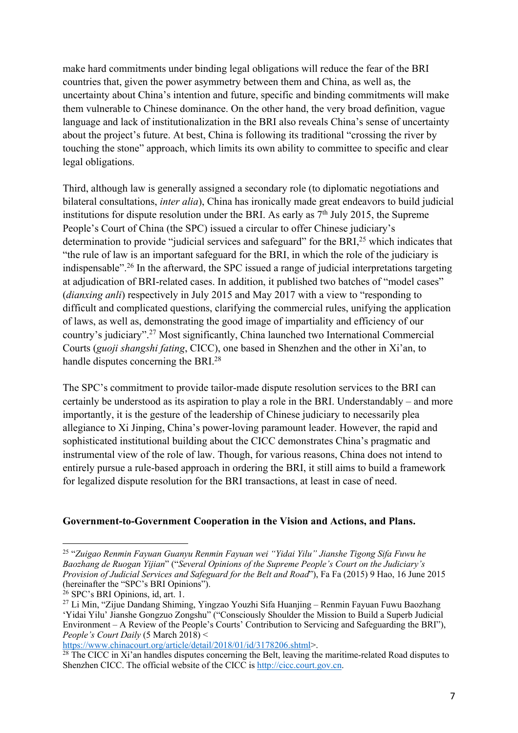make hard commitments under binding legal obligations will reduce the fear of the BRI countries that, given the power asymmetry between them and China, as well as, the uncertainty about China's intention and future, specific and binding commitments will make them vulnerable to Chinese dominance. On the other hand, the very broad definition, vague language and lack of institutionalization in the BRI also reveals China's sense of uncertainty about the project's future. At best, China is following its traditional "crossing the river by touching the stone" approach, which limits its own ability to committee to specific and clear legal obligations.

Third, although law is generally assigned a secondary role (to diplomatic negotiations and bilateral consultations, *inter alia*), China has ironically made great endeavors to build judicial institutions for dispute resolution under the BRI. As early as  $7<sup>th</sup>$  July 2015, the Supreme People's Court of China (the SPC) issued a circular to offer Chinese judiciary's determination to provide "judicial services and safeguard" for the BRI,<sup>25</sup> which indicates that "the rule of law is an important safeguard for the BRI, in which the role of the judiciary is indispensable".26 In the afterward, the SPC issued a range of judicial interpretations targeting at adjudication of BRI-related cases. In addition, it published two batches of "model cases" (*dianxing anli*) respectively in July 2015 and May 2017 with a view to "responding to difficult and complicated questions, clarifying the commercial rules, unifying the application of laws, as well as, demonstrating the good image of impartiality and efficiency of our country's judiciary".27 Most significantly, China launched two International Commercial Courts (*guoji shangshi fating*, CICC), one based in Shenzhen and the other in Xi'an, to handle disputes concerning the BRI.<sup>28</sup>

The SPC's commitment to provide tailor-made dispute resolution services to the BRI can certainly be understood as its aspiration to play a role in the BRI. Understandably – and more importantly, it is the gesture of the leadership of Chinese judiciary to necessarily plea allegiance to Xi Jinping, China's power-loving paramount leader. However, the rapid and sophisticated institutional building about the CICC demonstrates China's pragmatic and instrumental view of the role of law. Though, for various reasons, China does not intend to entirely pursue a rule-based approach in ordering the BRI, it still aims to build a framework for legalized dispute resolution for the BRI transactions, at least in case of need.

#### **Government-to-Government Cooperation in the Vision and Actions, and Plans.**

 $\overline{a}$ 

https://www.chinacourt.org/article/detail/2018/01/id/3178206.shtml>.

<sup>25</sup> "*Zuigao Renmin Fayuan Guanyu Renmin Fayuan wei "Yidai Yilu" Jianshe Tigong Sifa Fuwu he Baozhang de Ruogan Yijian*" ("*Several Opinions of the Supreme People's Court on the Judiciary's Provision of Judicial Services and Safeguard for the Belt and Road*"), Fa Fa (2015) 9 Hao, 16 June 2015 (hereinafter the "SPC's BRI Opinions").

<sup>26</sup> SPC's BRI Opinions, id, art. 1.

<sup>27</sup> Li Min, "Zijue Dandang Shiming, Yingzao Youzhi Sifa Huanjing – Renmin Fayuan Fuwu Baozhang 'Yidai Yilu' Jianshe Gongzuo Zongshu" ("Consciously Shoulder the Mission to Build a Superb Judicial Environment – A Review of the People's Courts' Contribution to Servicing and Safeguarding the BRI"), *People's Court Daily* (5 March 2018) <

 $^{28}$  The CICC in Xi'an handles disputes concerning the Belt, leaving the maritime-related Road disputes to Shenzhen CICC. The official website of the CICC is http://cicc.court.gov.cn.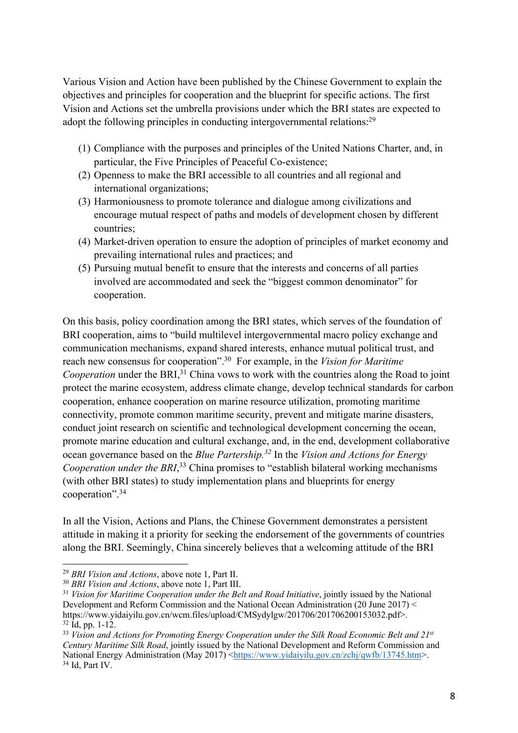Various Vision and Action have been published by the Chinese Government to explain the objectives and principles for cooperation and the blueprint for specific actions. The first Vision and Actions set the umbrella provisions under which the BRI states are expected to adopt the following principles in conducting intergovernmental relations:<sup>29</sup>

- (1) Compliance with the purposes and principles of the United Nations Charter, and, in particular, the Five Principles of Peaceful Co-existence;
- (2) Openness to make the BRI accessible to all countries and all regional and international organizations;
- (3) Harmoniousness to promote tolerance and dialogue among civilizations and encourage mutual respect of paths and models of development chosen by different countries;
- (4) Market-driven operation to ensure the adoption of principles of market economy and prevailing international rules and practices; and
- (5) Pursuing mutual benefit to ensure that the interests and concerns of all parties involved are accommodated and seek the "biggest common denominator" for cooperation.

On this basis, policy coordination among the BRI states, which serves of the foundation of BRI cooperation, aims to "build multilevel intergovernmental macro policy exchange and communication mechanisms, expand shared interests, enhance mutual political trust, and reach new consensus for cooperation".30 For example, in the *Vision for Maritime Cooperation* under the BRI,<sup>31</sup> China vows to work with the countries along the Road to joint protect the marine ecosystem, address climate change, develop technical standards for carbon cooperation, enhance cooperation on marine resource utilization, promoting maritime connectivity, promote common maritime security, prevent and mitigate marine disasters, conduct joint research on scientific and technological development concerning the ocean, promote marine education and cultural exchange, and, in the end, development collaborative ocean governance based on the *Blue Partership.32* In the *Vision and Actions for Energy*  Cooperation under the BRI,<sup>33</sup> China promises to "establish bilateral working mechanisms (with other BRI states) to study implementation plans and blueprints for energy cooperation".34

In all the Vision, Actions and Plans, the Chinese Government demonstrates a persistent attitude in making it a priority for seeking the endorsement of the governments of countries along the BRI. Seemingly, China sincerely believes that a welcoming attitude of the BRI

<sup>29</sup> *BRI Vision and Actions*, above note 1, Part II.

<sup>30</sup> *BRI Vision and Actions*, above note 1, Part III.

<sup>31</sup> *Vision for Maritime Cooperation under the Belt and Road Initiative*, jointly issued by the National Development and Reform Commission and the National Ocean Administration (20 June 2017) < https://www.yidaiyilu.gov.cn/wcm.files/upload/CMSydylgw/201706/201706200153032.pdf>.  $32$  Id, pp. 1-12.

<sup>&</sup>lt;sup>33</sup> Vision and Actions for Promoting Energy Cooperation under the Silk Road Economic Belt and 21<sup>st</sup> *Century Maritime Silk Road*, jointly issued by the National Development and Reform Commission and National Energy Administration (May 2017) <https://www.yidaiyilu.gov.cn/zchi/qwfb/13745.htm>.  $34$  Id, Part IV.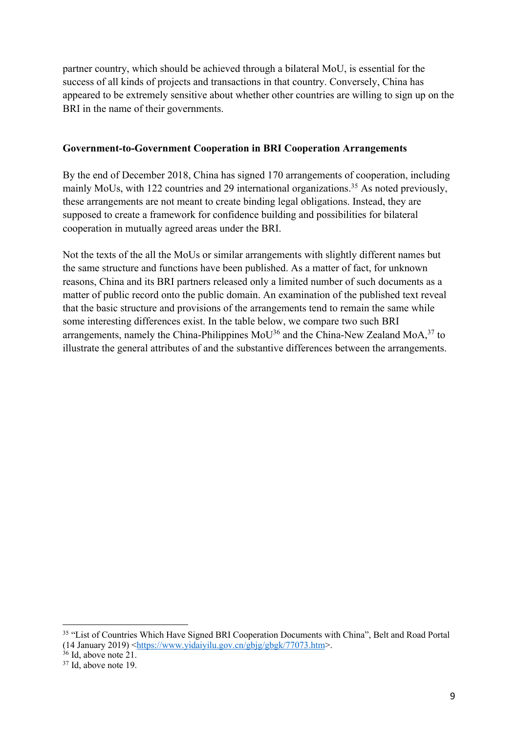partner country, which should be achieved through a bilateral MoU, is essential for the success of all kinds of projects and transactions in that country. Conversely, China has appeared to be extremely sensitive about whether other countries are willing to sign up on the BRI in the name of their governments.

## **Government-to-Government Cooperation in BRI Cooperation Arrangements**

By the end of December 2018, China has signed 170 arrangements of cooperation, including mainly MoUs, with 122 countries and 29 international organizations.<sup>35</sup> As noted previously, these arrangements are not meant to create binding legal obligations. Instead, they are supposed to create a framework for confidence building and possibilities for bilateral cooperation in mutually agreed areas under the BRI.

Not the texts of the all the MoUs or similar arrangements with slightly different names but the same structure and functions have been published. As a matter of fact, for unknown reasons, China and its BRI partners released only a limited number of such documents as a matter of public record onto the public domain. An examination of the published text reveal that the basic structure and provisions of the arrangements tend to remain the same while some interesting differences exist. In the table below, we compare two such BRI arrangements, namely the China-Philippines  $M_0U^{36}$  and the China-New Zealand  $M_0A^{37}$  to illustrate the general attributes of and the substantive differences between the arrangements.

<sup>&</sup>lt;sup>35</sup> "List of Countries Which Have Signed BRI Cooperation Documents with China", Belt and Road Portal (14 January 2019) <https://www.yidaiyilu.gov.cn/gbjg/gbgk/77073.htm>.

<sup>&</sup>lt;sup>36</sup> Id, above note 21.

<sup>37</sup> Id, above note 19.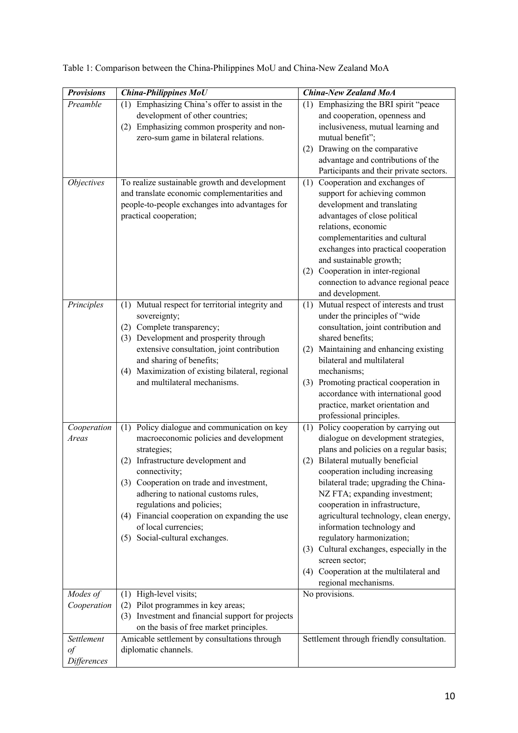| <b>Provisions</b>                    | <b>China-Philippines MoU</b>                                                                                                                                                                                                                                                                                                                                                                | <b>China-New Zealand MoA</b>                                                                                                                                                                                                                                                                                                                                                                                                                                                                                                                           |
|--------------------------------------|---------------------------------------------------------------------------------------------------------------------------------------------------------------------------------------------------------------------------------------------------------------------------------------------------------------------------------------------------------------------------------------------|--------------------------------------------------------------------------------------------------------------------------------------------------------------------------------------------------------------------------------------------------------------------------------------------------------------------------------------------------------------------------------------------------------------------------------------------------------------------------------------------------------------------------------------------------------|
| Preamble                             | (1) Emphasizing China's offer to assist in the<br>development of other countries;<br>(2) Emphasizing common prosperity and non-<br>zero-sum game in bilateral relations.                                                                                                                                                                                                                    | (1) Emphasizing the BRI spirit "peace<br>and cooperation, openness and<br>inclusiveness, mutual learning and<br>mutual benefit";<br>(2) Drawing on the comparative<br>advantage and contributions of the<br>Participants and their private sectors.                                                                                                                                                                                                                                                                                                    |
| <i><b>Objectives</b></i>             | To realize sustainable growth and development<br>and translate economic complementarities and<br>people-to-people exchanges into advantages for<br>practical cooperation;                                                                                                                                                                                                                   | Cooperation and exchanges of<br>(1)<br>support for achieving common<br>development and translating<br>advantages of close political<br>relations, economic<br>complementarities and cultural<br>exchanges into practical cooperation<br>and sustainable growth;<br>(2) Cooperation in inter-regional<br>connection to advance regional peace<br>and development.                                                                                                                                                                                       |
| Principles                           | (1) Mutual respect for territorial integrity and<br>sovereignty;<br>(2) Complete transparency;<br>(3) Development and prosperity through<br>extensive consultation, joint contribution<br>and sharing of benefits;<br>Maximization of existing bilateral, regional<br>(4)<br>and multilateral mechanisms.                                                                                   | Mutual respect of interests and trust<br>(1)<br>under the principles of "wide<br>consultation, joint contribution and<br>shared benefits;<br>(2) Maintaining and enhancing existing<br>bilateral and multilateral<br>mechanisms;<br>(3) Promoting practical cooperation in<br>accordance with international good<br>practice, market orientation and<br>professional principles.                                                                                                                                                                       |
| Cooperation<br>Areas                 | Policy dialogue and communication on key<br>(1)<br>macroeconomic policies and development<br>strategies;<br>(2) Infrastructure development and<br>connectivity;<br>(3) Cooperation on trade and investment,<br>adhering to national customs rules,<br>regulations and policies;<br>(4) Financial cooperation on expanding the use<br>of local currencies;<br>(5) Social-cultural exchanges. | Policy cooperation by carrying out<br>(1)<br>dialogue on development strategies,<br>plans and policies on a regular basis;<br>(2) Bilateral mutually beneficial<br>cooperation including increasing<br>bilateral trade; upgrading the China-<br>NZ FTA; expanding investment;<br>cooperation in infrastructure,<br>agricultural technology, clean energy,<br>information technology and<br>regulatory harmonization;<br>(3) Cultural exchanges, especially in the<br>screen sector;<br>(4) Cooperation at the multilateral and<br>regional mechanisms. |
| Modes of<br>Cooperation              | High-level visits;<br>(1)<br>Pilot programmes in key areas;<br>(2)<br>(3) Investment and financial support for projects<br>on the basis of free market principles.                                                                                                                                                                                                                          | No provisions.                                                                                                                                                                                                                                                                                                                                                                                                                                                                                                                                         |
| Settlement<br>$\iota$<br>Differences | Amicable settlement by consultations through<br>diplomatic channels.                                                                                                                                                                                                                                                                                                                        | Settlement through friendly consultation.                                                                                                                                                                                                                                                                                                                                                                                                                                                                                                              |

Table 1: Comparison between the China-Philippines MoU and China-New Zealand MoA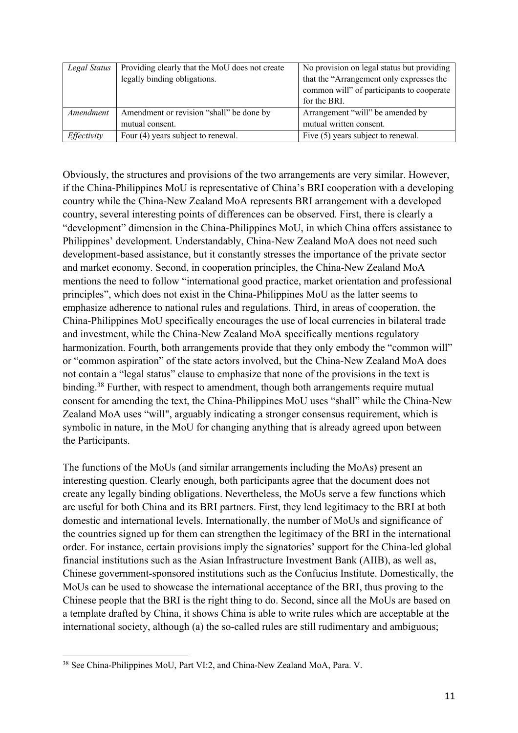| Legal Status | Providing clearly that the MoU does not create | No provision on legal status but providing |
|--------------|------------------------------------------------|--------------------------------------------|
|              | legally binding obligations.                   | that the "Arrangement only expresses the   |
|              |                                                | common will" of participants to cooperate  |
|              |                                                | for the BRI.                               |
| Amendment    | Amendment or revision "shall" be done by       | Arrangement "will" be amended by           |
|              | mutual consent.                                | mutual written consent.                    |
| Effectivity  | Four (4) years subject to renewal.             | Five (5) years subject to renewal.         |

Obviously, the structures and provisions of the two arrangements are very similar. However, if the China-Philippines MoU is representative of China's BRI cooperation with a developing country while the China-New Zealand MoA represents BRI arrangement with a developed country, several interesting points of differences can be observed. First, there is clearly a "development" dimension in the China-Philippines MoU, in which China offers assistance to Philippines' development. Understandably, China-New Zealand MoA does not need such development-based assistance, but it constantly stresses the importance of the private sector and market economy. Second, in cooperation principles, the China-New Zealand MoA mentions the need to follow "international good practice, market orientation and professional principles", which does not exist in the China-Philippines MoU as the latter seems to emphasize adherence to national rules and regulations. Third, in areas of cooperation, the China-Philippines MoU specifically encourages the use of local currencies in bilateral trade and investment, while the China-New Zealand MoA specifically mentions regulatory harmonization. Fourth, both arrangements provide that they only embody the "common will" or "common aspiration" of the state actors involved, but the China-New Zealand MoA does not contain a "legal status" clause to emphasize that none of the provisions in the text is binding.<sup>38</sup> Further, with respect to amendment, though both arrangements require mutual consent for amending the text, the China-Philippines MoU uses "shall" while the China-New Zealand MoA uses "will", arguably indicating a stronger consensus requirement, which is symbolic in nature, in the MoU for changing anything that is already agreed upon between the Participants.

The functions of the MoUs (and similar arrangements including the MoAs) present an interesting question. Clearly enough, both participants agree that the document does not create any legally binding obligations. Nevertheless, the MoUs serve a few functions which are useful for both China and its BRI partners. First, they lend legitimacy to the BRI at both domestic and international levels. Internationally, the number of MoUs and significance of the countries signed up for them can strengthen the legitimacy of the BRI in the international order. For instance, certain provisions imply the signatories' support for the China-led global financial institutions such as the Asian Infrastructure Investment Bank (AIIB), as well as, Chinese government-sponsored institutions such as the Confucius Institute. Domestically, the MoUs can be used to showcase the international acceptance of the BRI, thus proving to the Chinese people that the BRI is the right thing to do. Second, since all the MoUs are based on a template drafted by China, it shows China is able to write rules which are acceptable at the international society, although (a) the so-called rules are still rudimentary and ambiguous;

 $\overline{a}$ <sup>38</sup> See China-Philippines MoU, Part VI:2, and China-New Zealand MoA, Para. V.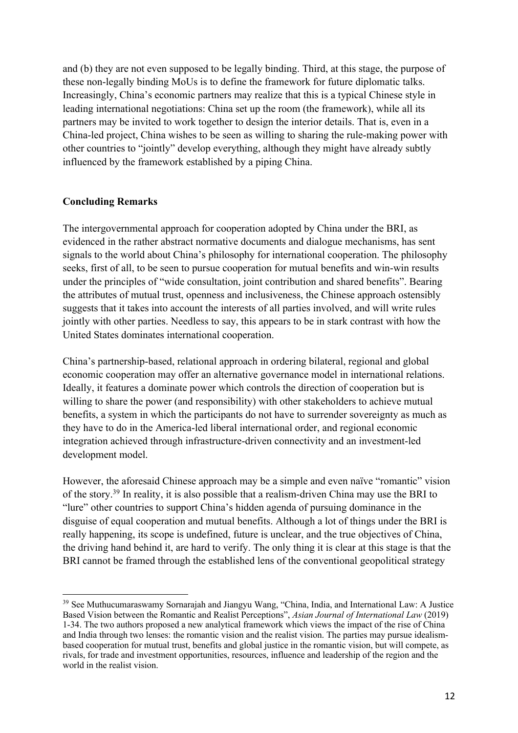and (b) they are not even supposed to be legally binding. Third, at this stage, the purpose of these non-legally binding MoUs is to define the framework for future diplomatic talks. Increasingly, China's economic partners may realize that this is a typical Chinese style in leading international negotiations: China set up the room (the framework), while all its partners may be invited to work together to design the interior details. That is, even in a China-led project, China wishes to be seen as willing to sharing the rule-making power with other countries to "jointly" develop everything, although they might have already subtly influenced by the framework established by a piping China.

## **Concluding Remarks**

 $\overline{a}$ 

The intergovernmental approach for cooperation adopted by China under the BRI, as evidenced in the rather abstract normative documents and dialogue mechanisms, has sent signals to the world about China's philosophy for international cooperation. The philosophy seeks, first of all, to be seen to pursue cooperation for mutual benefits and win-win results under the principles of "wide consultation, joint contribution and shared benefits". Bearing the attributes of mutual trust, openness and inclusiveness, the Chinese approach ostensibly suggests that it takes into account the interests of all parties involved, and will write rules jointly with other parties. Needless to say, this appears to be in stark contrast with how the United States dominates international cooperation.

China's partnership-based, relational approach in ordering bilateral, regional and global economic cooperation may offer an alternative governance model in international relations. Ideally, it features a dominate power which controls the direction of cooperation but is willing to share the power (and responsibility) with other stakeholders to achieve mutual benefits, a system in which the participants do not have to surrender sovereignty as much as they have to do in the America-led liberal international order, and regional economic integration achieved through infrastructure-driven connectivity and an investment-led development model.

However, the aforesaid Chinese approach may be a simple and even naïve "romantic" vision of the story.39 In reality, it is also possible that a realism-driven China may use the BRI to "lure" other countries to support China's hidden agenda of pursuing dominance in the disguise of equal cooperation and mutual benefits. Although a lot of things under the BRI is really happening, its scope is undefined, future is unclear, and the true objectives of China, the driving hand behind it, are hard to verify. The only thing it is clear at this stage is that the BRI cannot be framed through the established lens of the conventional geopolitical strategy

<sup>&</sup>lt;sup>39</sup> See Muthucumaraswamy Sornarajah and Jiangyu Wang, "China, India, and International Law: A Justice Based Vision between the Romantic and Realist Perceptions", *Asian Journal of International Law* (2019) 1-34. The two authors proposed a new analytical framework which views the impact of the rise of China and India through two lenses: the romantic vision and the realist vision. The parties may pursue idealismbased cooperation for mutual trust, benefits and global justice in the romantic vision, but will compete, as rivals, for trade and investment opportunities, resources, influence and leadership of the region and the world in the realist vision.